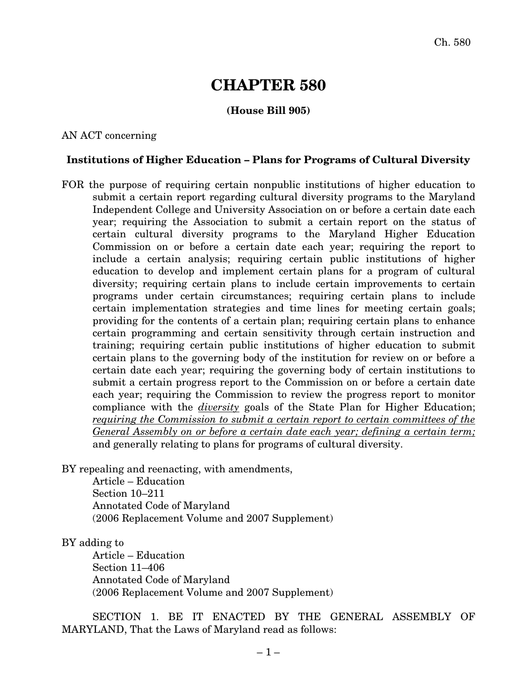# **CHAPTER 580**

## **(House Bill 905)**

#### AN ACT concerning

### **Institutions of Higher Education – Plans for Programs of Cultural Diversity**

FOR the purpose of requiring certain nonpublic institutions of higher education to submit a certain report regarding cultural diversity programs to the Maryland Independent College and University Association on or before a certain date each year; requiring the Association to submit a certain report on the status of certain cultural diversity programs to the Maryland Higher Education Commission on or before a certain date each year; requiring the report to include a certain analysis; requiring certain public institutions of higher education to develop and implement certain plans for a program of cultural diversity; requiring certain plans to include certain improvements to certain programs under certain circumstances; requiring certain plans to include certain implementation strategies and time lines for meeting certain goals; providing for the contents of a certain plan; requiring certain plans to enhance certain programming and certain sensitivity through certain instruction and training; requiring certain public institutions of higher education to submit certain plans to the governing body of the institution for review on or before a certain date each year; requiring the governing body of certain institutions to submit a certain progress report to the Commission on or before a certain date each year; requiring the Commission to review the progress report to monitor compliance with the *diversity* goals of the State Plan for Higher Education; *requiring the Commission to submit a certain report to certain committees of the General Assembly on or before a certain date each year; defining a certain term;* and generally relating to plans for programs of cultural diversity.

BY repealing and reenacting, with amendments,

Article – Education Section 10–211 Annotated Code of Maryland (2006 Replacement Volume and 2007 Supplement)

#### BY adding to

Article – Education Section 11–406 Annotated Code of Maryland (2006 Replacement Volume and 2007 Supplement)

SECTION 1. BE IT ENACTED BY THE GENERAL ASSEMBLY OF MARYLAND, That the Laws of Maryland read as follows: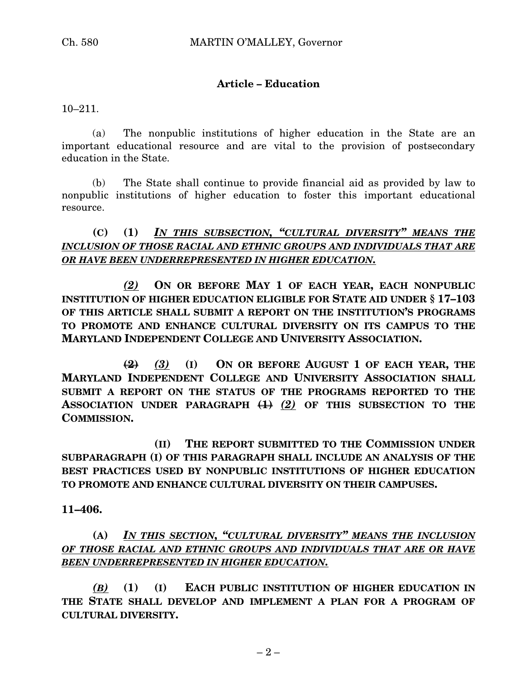# **Article – Education**

10–211.

(a) The nonpublic institutions of higher education in the State are an important educational resource and are vital to the provision of postsecondary education in the State.

(b) The State shall continue to provide financial aid as provided by law to nonpublic institutions of higher education to foster this important educational resource.

**(C) (1)** *IN THIS SUBSECTION, "CULTURAL DIVERSITY" MEANS THE INCLUSION OF THOSE RACIAL AND ETHNIC GROUPS AND INDIVIDUALS THAT ARE OR HAVE BEEN UNDERREPRESENTED IN HIGHER EDUCATION.*

*(2)* **ON OR BEFORE MAY 1 OF EACH YEAR, EACH NONPUBLIC INSTITUTION OF HIGHER EDUCATION ELIGIBLE FOR STATE AID UNDER § 17–103 OF THIS ARTICLE SHALL SUBMIT A REPORT ON THE INSTITUTION'S PROGRAMS TO PROMOTE AND ENHANCE CULTURAL DIVERSITY ON ITS CAMPUS TO THE MARYLAND INDEPENDENT COLLEGE AND UNIVERSITY ASSOCIATION.**

**(2)** *(3)* **(I) ON OR BEFORE AUGUST 1 OF EACH YEAR, THE MARYLAND INDEPENDENT COLLEGE AND UNIVERSITY ASSOCIATION SHALL SUBMIT A REPORT ON THE STATUS OF THE PROGRAMS REPORTED TO THE ASSOCIATION UNDER PARAGRAPH (1)** *(2)* **OF THIS SUBSECTION TO THE COMMISSION.**

**(II) THE REPORT SUBMITTED TO THE COMMISSION UNDER SUBPARAGRAPH (I) OF THIS PARAGRAPH SHALL INCLUDE AN ANALYSIS OF THE BEST PRACTICES USED BY NONPUBLIC INSTITUTIONS OF HIGHER EDUCATION TO PROMOTE AND ENHANCE CULTURAL DIVERSITY ON THEIR CAMPUSES.**

**11–406.**

**(A)** *IN THIS SECTION, "CULTURAL DIVERSITY" MEANS THE INCLUSION OF THOSE RACIAL AND ETHNIC GROUPS AND INDIVIDUALS THAT ARE OR HAVE BEEN UNDERREPRESENTED IN HIGHER EDUCATION.*

*(B)* **(1) (I) EACH PUBLIC INSTITUTION OF HIGHER EDUCATION IN THE STATE SHALL DEVELOP AND IMPLEMENT A PLAN FOR A PROGRAM OF CULTURAL DIVERSITY.**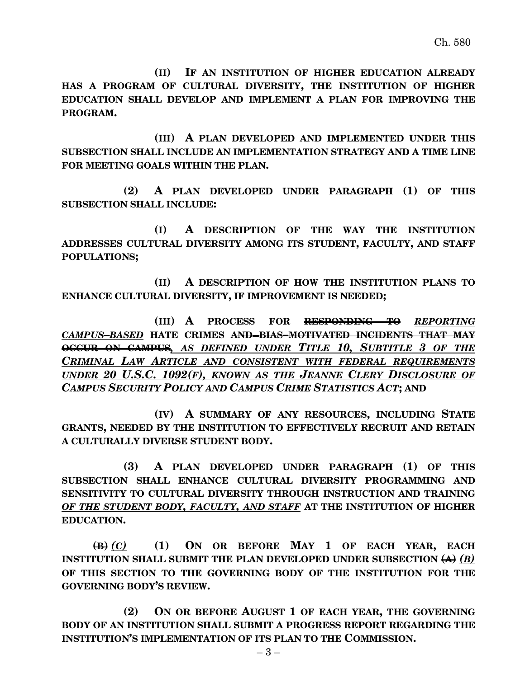**(II) IF AN INSTITUTION OF HIGHER EDUCATION ALREADY HAS A PROGRAM OF CULTURAL DIVERSITY, THE INSTITUTION OF HIGHER EDUCATION SHALL DEVELOP AND IMPLEMENT A PLAN FOR IMPROVING THE PROGRAM.**

**(III) A PLAN DEVELOPED AND IMPLEMENTED UNDER THIS SUBSECTION SHALL INCLUDE AN IMPLEMENTATION STRATEGY AND A TIME LINE FOR MEETING GOALS WITHIN THE PLAN.**

**(2) A PLAN DEVELOPED UNDER PARAGRAPH (1) OF THIS SUBSECTION SHALL INCLUDE:**

**(I) A DESCRIPTION OF THE WAY THE INSTITUTION ADDRESSES CULTURAL DIVERSITY AMONG ITS STUDENT, FACULTY, AND STAFF POPULATIONS;**

**(II) A DESCRIPTION OF HOW THE INSTITUTION PLANS TO ENHANCE CULTURAL DIVERSITY, IF IMPROVEMENT IS NEEDED;**

**(III) A PROCESS FOR RESPONDING TO** *REPORTING CAMPUS–BASED* **HATE CRIMES AND BIAS–MOTIVATED INCIDENTS THAT MAY OCCUR ON CAMPUS***, AS DEFINED UNDER TITLE 10, SUBTITLE 3 OF THE CRIMINAL LAW ARTICLE AND CONSISTENT WITH FEDERAL REQUIREMENTS UNDER 20 U.S.C. 1092(F), KNOWN AS THE JEANNE CLERY DISCLOSURE OF CAMPUS SECURITY POLICY AND CAMPUS CRIME STATISTICS ACT***; AND**

**(IV) A SUMMARY OF ANY RESOURCES, INCLUDING STATE GRANTS, NEEDED BY THE INSTITUTION TO EFFECTIVELY RECRUIT AND RETAIN A CULTURALLY DIVERSE STUDENT BODY.**

**(3) A PLAN DEVELOPED UNDER PARAGRAPH (1) OF THIS SUBSECTION SHALL ENHANCE CULTURAL DIVERSITY PROGRAMMING AND SENSITIVITY TO CULTURAL DIVERSITY THROUGH INSTRUCTION AND TRAINING** *OF THE STUDENT BODY, FACULTY, AND STAFF* **AT THE INSTITUTION OF HIGHER EDUCATION.**

**(B)** *(C)* **(1) ON OR BEFORE MAY 1 OF EACH YEAR, EACH INSTITUTION SHALL SUBMIT THE PLAN DEVELOPED UNDER SUBSECTION (A)** *(B)* **OF THIS SECTION TO THE GOVERNING BODY OF THE INSTITUTION FOR THE GOVERNING BODY'S REVIEW.**

**(2) ON OR BEFORE AUGUST 1 OF EACH YEAR, THE GOVERNING BODY OF AN INSTITUTION SHALL SUBMIT A PROGRESS REPORT REGARDING THE INSTITUTION'S IMPLEMENTATION OF ITS PLAN TO THE COMMISSION.**